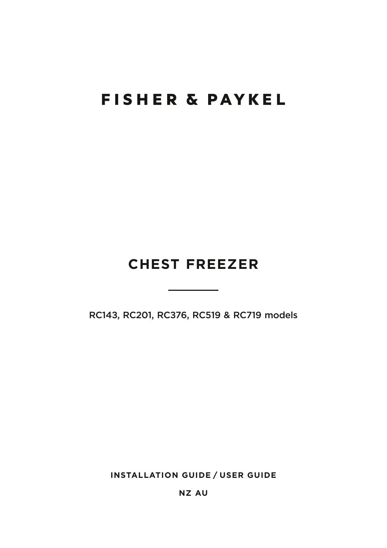# **FISHER & PAYKEL**

## **CHEST FREEZER**

RC143, RC201, RC376, RC519 & RC719 models

**INSTALLATION GUIDE / USER GUIDE**

**NZ AU**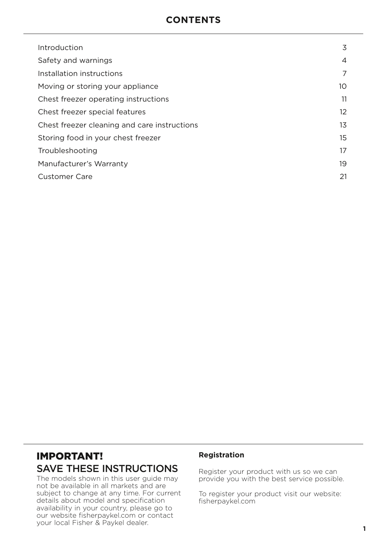### **CONTENTS**

| Introduction                                 | 3                 |
|----------------------------------------------|-------------------|
| Safety and warnings                          | 4                 |
| Installation instructions                    | 7                 |
| Moving or storing your appliance             | 10                |
| Chest freezer operating instructions         | 11                |
| Chest freezer special features               | $12 \overline{ }$ |
| Chest freezer cleaning and care instructions | 13                |
| Storing food in your chest freezer           | 15                |
| Troubleshooting                              | 17                |
| Manufacturer's Warranty                      | 19                |
| Customer Care                                | 21                |

### IMPORTANT! SAVE THESE INSTRUCTIONS

The models shown in this user guide may not be available in all markets and are subject to change at any time. For current details about model and specification availability in your country, please go to our website fisherpaykel.com or contact your local Fisher & Paykel dealer.

#### **Registration**

Register your product with us so we can provide you with the best service possible.

To register your product visit our website: fisherpaykel.com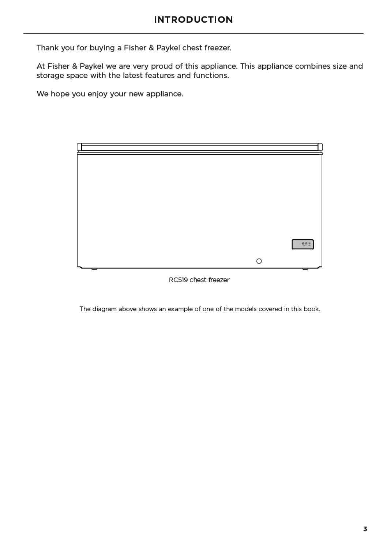Thank you for buying a Fisher & Paykel chest freezer.

At Fisher & Paykel we are very proud of this appliance. This appliance combines size and storage space with the latest features and functions.

We hope you enjoy your new appliance.

| ┍ |   |                            |
|---|---|----------------------------|
|   |   |                            |
|   |   |                            |
|   |   |                            |
|   |   |                            |
|   |   |                            |
|   |   |                            |
|   |   |                            |
|   |   |                            |
|   |   |                            |
|   |   | $\longrightarrow$ 2.9 $\%$ |
|   |   |                            |
|   | O |                            |
| - |   | ⇁<br>$\overline{}$         |

RC519 chest freezer

The diagram above shows an example of one of the models covered in this book.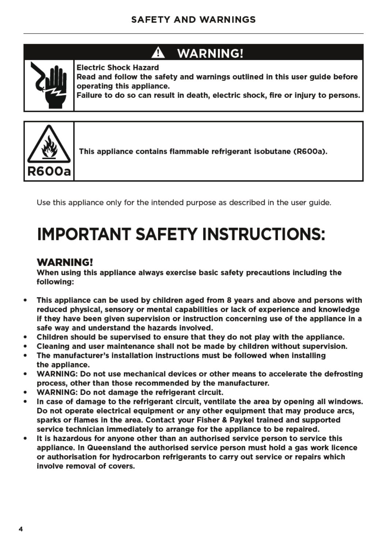#### А **WARNING!**



**Electric Shock Hazard** Read and follow the safety and warnings outlined in this user guide before operating this appliance.

Failure to do so can result in death, electric shock, fire or iniury to persons,



This appliance contains flammable refrigerant isobutane (R600a).

Use this appliance only for the intended purpose as described in the user guide.

# **IMPORTANT SAFETY INSTRUCTIONS:**

### **WARNING!**

When using this appliance always exercise basic safety precautions including the following:

- This appliance can be used by children aged from 8 years and above and persons with  $\bullet$ reduced physical, sensory or mental capabilities or lack of experience and knowledge if they have been given supervision or instruction concerning use of the appliance in a safe way and understand the hazards involved.
- Children should be supervised to ensure that they do not play with the appliance.
- Cleaning and user maintenance shall not be made by children without supervision.
- The manufacturer's installation instructions must be followed when installing the appliance.
- WARNING: Do not use mechanical devices or other means to accelerate the defrosting process, other than those recommended by the manufacturer.
- WARNING: Do not damage the refrigerant circuit.
- In case of damage to the refrigerant circuit, ventilate the area by opening all windows. Do not operate electrical equipment or any other equipment that may produce arcs, sparks or flames in the area. Contact your Fisher & Paykel trained and supported service technician immediately to arrange for the appliance to be repaired.
- It is hazardous for anyone other than an authorised service person to service this appliance. In Queensland the authorised service person must hold a gas work licence or authorisation for hydrocarbon refrigerants to carry out service or repairs which involve removal of covers.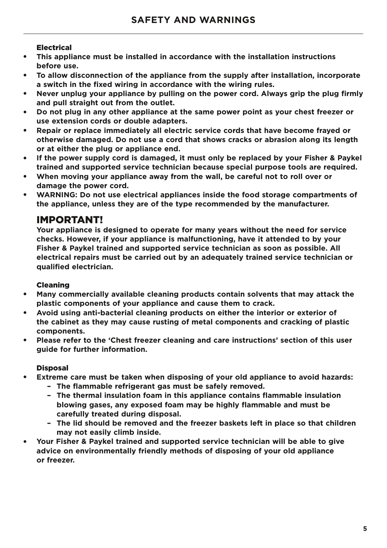### Electrical

- **This appliance must be installed in accordance with the installation instructions before use.**
- **To allow disconnection of the appliance from the supply after installation, incorporate a switch in the fixed wiring in accordance with the wiring rules.**
- **Never unplug your appliance by pulling on the power cord. Always grip the plug firmly and pull straight out from the outlet.**
- **Do not plug in any other appliance at the same power point as your chest freezer or use extension cords or double adapters.**
- **Repair or replace immediately all electric service cords that have become frayed or otherwise damaged. Do not use a cord that shows cracks or abrasion along its length or at either the plug or appliance end.**
- **If the power supply cord is damaged, it must only be replaced by your Fisher & Paykel trained and supported service technician because special purpose tools are required.**
- **When moving your appliance away from the wall, be careful not to roll over or damage the power cord.**
- WARNING: Do not use electrical appliances inside the food storage compartments of **the appliance, unless they are of the type recommended by the manufacturer.**

### IMPORTANT!

**Your appliance is designed to operate for many years without the need for service checks. However, if your appliance is malfunctioning, have it attended to by your Fisher & Paykel trained and supported service technician as soon as possible. All electrical repairs must be carried out by an adequately trained service technician or qualified electrician.**

### Cleaning

- **Many commercially available cleaning products contain solvents that may attack the plastic components of your appliance and cause them to crack.**
- **Avoid using anti-bacterial cleaning products on either the interior or exterior of the cabinet as they may cause rusting of metal components and cracking of plastic components.**
- **Please refer to the 'Chest freezer cleaning and care instructions' section of this user guide for further information.**

### Disposal

- **Extreme care must be taken when disposing of your old appliance to avoid hazards:** 
	- **The flammable refrigerant gas must be safely removed.**
	- **The thermal insulation foam in this appliance contains flammable insulation blowing gases, any exposed foam may be highly flammable and must be carefully treated during disposal.**
	- **The lid should be removed and the freezer baskets left in place so that children may not easily climb inside.**
- Your Fisher & Paykel trained and supported service technician will be able to give **advice on environmentally friendly methods of disposing of your old appliance or freezer.**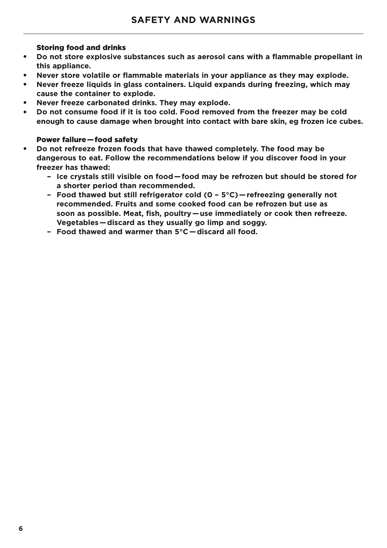### Storing food and drinks

- **Do not store explosive substances such as aerosol cans with a flammable propellant in this appliance.**
- **Never store volatile or flammable materials in your appliance as they may explode.**
- **Never freeze liquids in glass containers. Liquid expands during freezing, which may cause the container to explode.**
- **Never freeze carbonated drinks. They may explode.**
- **Do not consume food if it is too cold. Food removed from the freezer may be cold enough to cause damage when brought into contact with bare skin, eg frozen ice cubes.**

### Power failure — food safety

- **Do not refreeze frozen foods that have thawed completely. The food may be dangerous to eat. Follow the recommendations below if you discover food in your freezer has thawed:**
	- **Ice crystals still visible on food — food may be refrozen but should be stored for a shorter period than recommended.**
	- **Food thawed but still refrigerator cold (0 5°C) — refreezing generally not recommended. Fruits and some cooked food can be refrozen but use as soon as possible. Meat, fish, poultry — use immediately or cook then refreeze. Vegetables — discard as they usually go limp and soggy.**
	- **Food thawed and warmer than 5°C — discard all food.**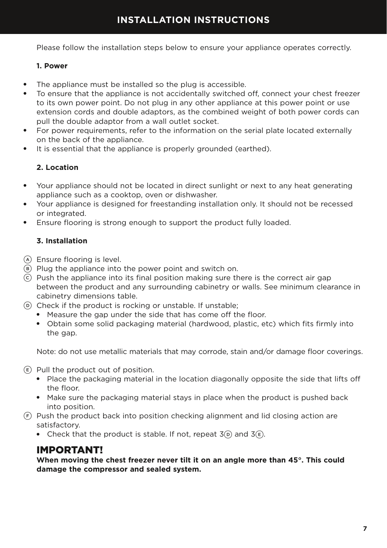### **INSTALLATION INSTRUCTIONS**

Please follow the installation steps below to ensure your appliance operates correctly.

### **1. Power**

- The appliance must be installed so the plug is accessible.
- To ensure that the appliance is not accidentally switched off, connect your chest freezer to its own power point. Do not plug in any other appliance at this power point or use extension cords and double adaptors, as the combined weight of both power cords can pull the double adaptor from a wall outlet socket.
- For power requirements, refer to the information on the serial plate located externally on the back of the appliance.
- It is essential that the appliance is properly grounded (earthed).

### **2. Location**

- Your appliance should not be located in direct sunlight or next to any heat generating appliance such as a cooktop, oven or dishwasher.
- Your appliance is designed for freestanding installation only. It should not be recessed or integrated.
- Ensure flooring is strong enough to support the product fully loaded.

### **3. Installation**

- A Ensure flooring is level.
- $(B)$  Plug the appliance into the power point and switch on.
- $\odot$  Push the appliance into its final position making sure there is the correct air gap between the product and any surrounding cabinetry or walls. See minimum clearance in cabinetry dimensions table.
- $\overline{D}$  Check if the product is rocking or unstable. If unstable:
	- Measure the gap under the side that has come off the floor.
	- Obtain some solid packaging material (hardwood, plastic, etc) which fits firmly into the gap.

Note: do not use metallic materials that may corrode, stain and/or damage floor coverings.

 $E$  Pull the product out of position.

- Place the packaging material in the location diagonally opposite the side that lifts off the floor.
- Make sure the packaging material stays in place when the product is pushed back into position.
- $F$  Push the product back into position checking alignment and lid closing action are satisfactory.
	- Check that the product is stable. If not, repeat  $3\overline{D}$  and  $3\overline{E}$ .

### IMPORTANT!

**When moving the chest freezer never tilt it on an angle more than 45°. This could damage the compressor and sealed system.**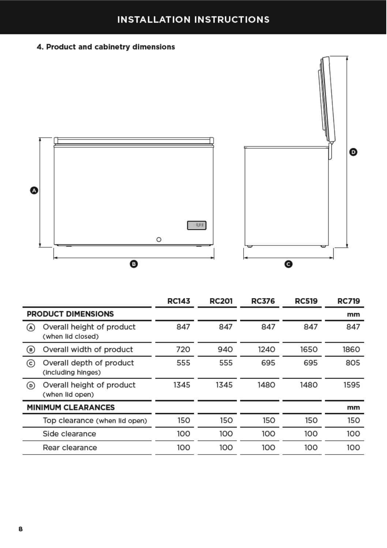### **INSTALLATION INSTRUCTIONS**

### 4. Product and cabinetry dimensions



|                           |                                                | <b>RC143</b> | <b>RC201</b> | <b>RC376</b> | <b>RC519</b> | <b>RC719</b> |
|---------------------------|------------------------------------------------|--------------|--------------|--------------|--------------|--------------|
| <b>PRODUCT DIMENSIONS</b> |                                                |              |              |              |              | mm           |
| (A)                       | Overall height of product<br>(when lid closed) | 847          | 847          | 847          | 847          | 847          |
| (B)                       | Overall width of product                       | 720          | 940          | 1240         | 1650         | 1860         |
| (c)                       | Overall depth of product<br>(including hinges) | 555          | 555          | 695          | 695          | 805          |
| $\circ$                   | Overall height of product<br>(when lid open)   | 1345         | 1345         | 1480         | 1480         | 1595         |
| <b>MINIMUM CLEARANCES</b> |                                                |              |              |              |              | mm           |
|                           | Top clearance (when lid open)                  | 150          | 150          | 150          | 150          | 150          |
|                           | Side clearance                                 | 100          | 100          | 100          | 100          | 100          |
|                           | Rear clearance                                 | 100          | 100          | 100          | 100          | 100          |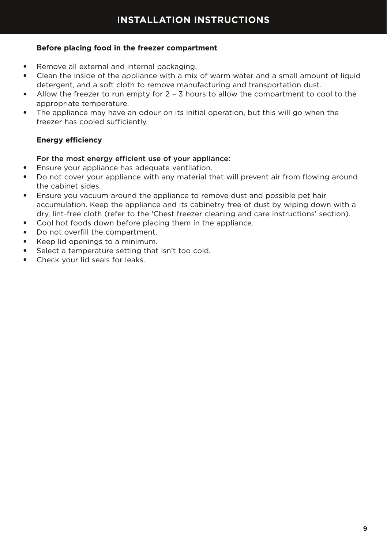### **Before placing food in the freezer compartment**

- Remove all external and internal packaging.
- Clean the inside of the appliance with a mix of warm water and a small amount of liquid detergent, and a soft cloth to remove manufacturing and transportation dust.
- Allow the freezer to run empty for 2 3 hours to allow the compartment to cool to the appropriate temperature.
- The appliance may have an odour on its initial operation, but this will go when the freezer has cooled sufficiently.

### **Energy efficiency**

### For the most energy efficient use of your appliance:

- Ensure your appliance has adequate ventilation.
- Do not cover your appliance with any material that will prevent air from flowing around the cabinet sides.
- Ensure you vacuum around the appliance to remove dust and possible pet hair accumulation. Keep the appliance and its cabinetry free of dust by wiping down with a dry, lint-free cloth (refer to the 'Chest freezer cleaning and care instructions' section).
- Cool hot foods down before placing them in the appliance.
- Do not overfill the compartment.
- Keep lid openings to a minimum.
- Select a temperature setting that isn't too cold.
- Check your lid seals for leaks.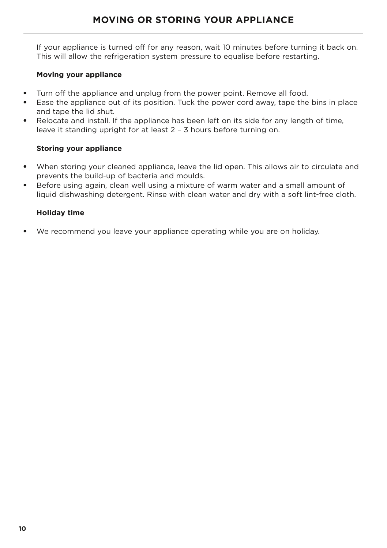If your appliance is turned off for any reason, wait 10 minutes before turning it back on. This will allow the refrigeration system pressure to equalise before restarting.

### **Moving your appliance**

- Turn off the appliance and unplug from the power point. Remove all food.
- Ease the appliance out of its position. Tuck the power cord away, tape the bins in place and tape the lid shut.
- Relocate and install. If the appliance has been left on its side for any length of time, leave it standing upright for at least 2 – 3 hours before turning on.

### **Storing your appliance**

- When storing your cleaned appliance, leave the lid open. This allows air to circulate and prevents the build-up of bacteria and moulds.
- Before using again, clean well using a mixture of warm water and a small amount of liquid dishwashing detergent. Rinse with clean water and dry with a soft lint-free cloth.

### **Holiday time**

● We recommend you leave your appliance operating while you are on holiday.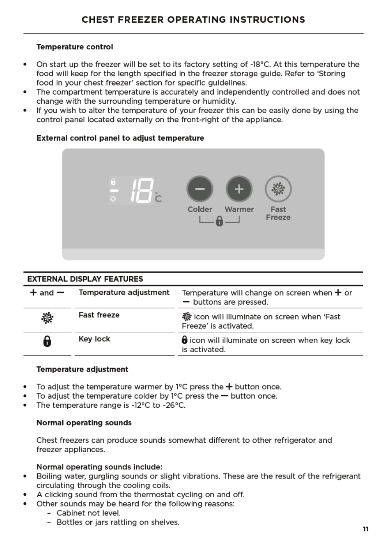### **Temperature control**

- $\bullet$ On start up the freezer will be set to its factory setting of -18°C. At this temperature the food will keep for the length specified in the freezer storage guide. Refer to 'Storing food in your chest freezer' section for specific guidelines.
- $\bullet$ The compartment temperature is accurately and independently controlled and does not change with the surrounding temperature or humidity.
- If you wish to alter the temperature of your freezer this can be easily done by using the  $\bullet$ control panel located externally on the front-right of the appliance.

### External control panel to adjust temperature



| <b>EXTERNAL DISPLAY FEATURES</b> |                        |                                                                         |  |
|----------------------------------|------------------------|-------------------------------------------------------------------------|--|
| $+$ and $-$                      | Temperature adjustment | Temperature will change on screen when $+$ or<br>- buttons are pressed. |  |
| 淼                                | <b>Fast freeze</b>     | 發 icon will illuminate on screen when 'Fast<br>Freeze' is activated.    |  |
| 8                                | Key lock               | <b>o</b> icon will illuminate on screen when key lock<br>is activated.  |  |

### **Temperature adjustment**

- To adjust the temperature warmer by  $1^{\circ}$ C press the  $+$  button once.
- To adjust the temperature colder by  $1^{\circ}$ C press the  $-$  button once.
- The temperature range is -12°C to -26°C.

### Normal operating sounds

Chest freezers can produce sounds somewhat different to other refrigerator and freezer appliances.

### Normal operating sounds include:

- Boiling water, gurgling sounds or slight vibrations. These are the result of the refrigerant  $\bullet$ circulating through the cooling coils.
- A clicking sound from the thermostat cycling on and off.
- Other sounds may be heard for the following reasons:
	- Cabinet not level.
	- Bottles or jars rattling on shelves.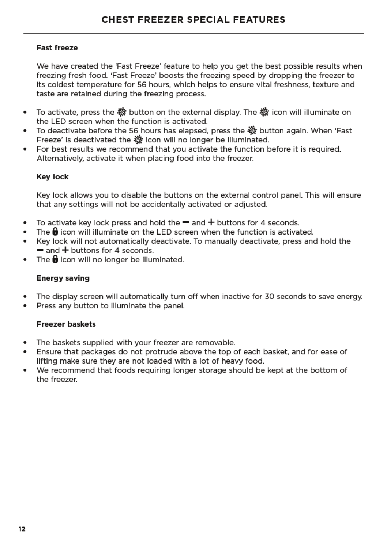### **Fast freeze**

We have created the 'Fast Freeze' feature to help you get the best possible results when freezing fresh food. 'Fast Freeze' boosts the freezing speed by dropping the freezer to its coldest temperature for 56 hours, which helps to ensure vital freshness, texture and taste are retained during the freezing process.

- To activate, press the ※ button on the external display. The ※ icon will illuminate on  $\bullet$ the LED screen when the function is activated.
- To deactivate before the 56 hours has elapsed, press the 潑 button again. When 'Fast  $\bullet$ Freeze' is deactivated the 数 icon will no longer be illuminated.
- For best results we recommend that you activate the function before it is required.  $\bullet$ Alternatively, activate it when placing food into the freezer.

### **Kev lock**

Key lock allows you to disable the buttons on the external control panel. This will ensure that any settings will not be accidentally activated or adjusted.

- To activate key lock press and hold the  $=$  and  $+$  buttons for 4 seconds.
- The  $\theta$  icon will illuminate on the LED screen when the function is activated.
- Key lock will not automatically deactivate. To manually deactivate, press and hold the  $=$  and  $+$  buttons for 4 seconds.
- The  $\bigoplus$  icon will no longer be illuminated.

### **Energy saving**

- The display screen will automatically turn off when inactive for 30 seconds to save energy.  $\bullet$
- Press any button to illuminate the panel.

### **Freezer baskets**

- The baskets supplied with your freezer are removable.
- Ensure that packages do not protrude above the top of each basket, and for ease of lifting make sure they are not loaded with a lot of heavy food.
- $\bullet$ We recommend that foods requiring longer storage should be kept at the bottom of the freezer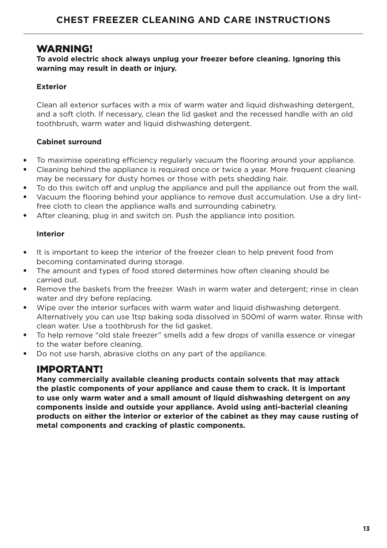### WARNING!

### **To avoid electric shock always unplug your freezer before cleaning. Ignoring this warning may result in death or injury.**

### **Exterior**

Clean all exterior surfaces with a mix of warm water and liquid dishwashing detergent, and a soft cloth. If necessary, clean the lid gasket and the recessed handle with an old toothbrush, warm water and liquid dishwashing detergent.

### **Cabinet surround**

- To maximise operating efficiency regularly vacuum the flooring around your appliance.
- Cleaning behind the appliance is required once or twice a year. More frequent cleaning may be necessary for dusty homes or those with pets shedding hair.
- To do this switch off and unplug the appliance and pull the appliance out from the wall.
- Vacuum the flooring behind your appliance to remove dust accumulation. Use a dry lintfree cloth to clean the appliance walls and surrounding cabinetry.
- After cleaning, plug in and switch on. Push the appliance into position.

### **Interior**

- It is important to keep the interior of the freezer clean to help prevent food from becoming contaminated during storage.
- The amount and types of food stored determines how often cleaning should be carried out.
- Remove the baskets from the freezer. Wash in warm water and detergent; rinse in clean water and dry before replacing.
- Wipe over the interior surfaces with warm water and liquid dishwashing detergent. Alternatively you can use 1tsp baking soda dissolved in 500ml of warm water. Rinse with clean water. Use a toothbrush for the lid gasket.
- To help remove "old stale freezer" smells add a few drops of vanilla essence or vinegar to the water before cleaning.
- Do not use harsh, abrasive cloths on any part of the appliance.

### IMPORTANT!

**Many commercially available cleaning products contain solvents that may attack the plastic components of your appliance and cause them to crack. It is important to use only warm water and a small amount of liquid dishwashing detergent on any components inside and outside your appliance. Avoid using anti-bacterial cleaning products on either the interior or exterior of the cabinet as they may cause rusting of metal components and cracking of plastic components.**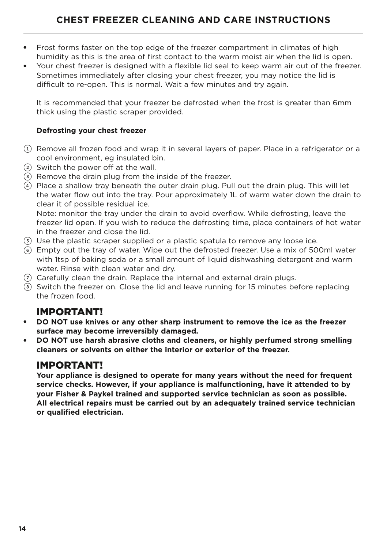- Frost forms faster on the top edge of the freezer compartment in climates of high humidity as this is the area of first contact to the warm moist air when the lid is open.
- Your chest freezer is designed with a flexible lid seal to keep warm air out of the freezer. Sometimes immediately after closing your chest freezer, you may notice the lid is difficult to re-open. This is normal. Wait a few minutes and try again.

It is recommended that your freezer be defrosted when the frost is greater than 6mm thick using the plastic scraper provided.

### **Defrosting your chest freezer**

- $(1)$  Remove all frozen food and wrap it in several layers of paper. Place in a refrigerator or a cool environment, eg insulated bin.
- 2 Switch the power off at the wall.
- 3 Remove the drain plug from the inside of the freezer.
- 4 Place a shallow tray beneath the outer drain plug. Pull out the drain plug. This will let the water flow out into the tray. Pour approximately 1L of warm water down the drain to clear it of possible residual ice.

Note: monitor the tray under the drain to avoid overflow. While defrosting, leave the freezer lid open. If you wish to reduce the defrosting time, place containers of hot water in the freezer and close the lid.

- 5 Use the plastic scraper supplied or a plastic spatula to remove any loose ice.
- 6 Empty out the tray of water. Wipe out the defrosted freezer. Use a mix of 500ml water with 1tsp of baking soda or a small amount of liquid dishwashing detergent and warm water. Rinse with clean water and dry.
- $(7)$  Carefully clean the drain. Replace the internal and external drain plugs.
- 8 Switch the freezer on. Close the lid and leave running for 15 minutes before replacing the frozen food.

### IMPORTANT!

- **DO NOT use knives or any other sharp instrument to remove the ice as the freezer surface may become irreversibly damaged.**
- **DO NOT use harsh abrasive cloths and cleaners, or highly perfumed strong smelling cleaners or solvents on either the interior or exterior of the freezer.**

### IMPORTANT!

**Your appliance is designed to operate for many years without the need for frequent service checks. However, if your appliance is malfunctioning, have it attended to by your Fisher & Paykel trained and supported service technician as soon as possible. All electrical repairs must be carried out by an adequately trained service technician or qualified electrician.**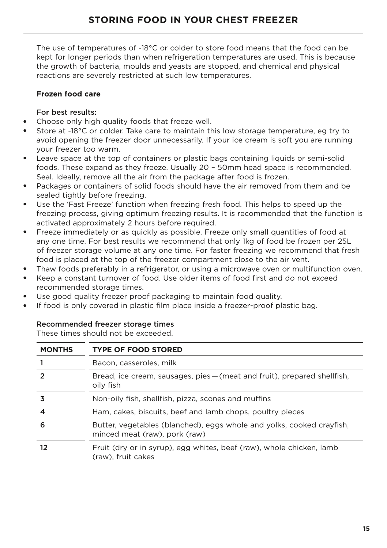The use of temperatures of -18°C or colder to store food means that the food can be kept for longer periods than when refrigeration temperatures are used. This is because the growth of bacteria, moulds and yeasts are stopped, and chemical and physical reactions are severely restricted at such low temperatures.

### **Frozen food care**

### For best results:

- Choose only high quality foods that freeze well.
- Store at -18°C or colder. Take care to maintain this low storage temperature, eg try to avoid opening the freezer door unnecessarily. If your ice cream is soft you are running your freezer too warm.
- Leave space at the top of containers or plastic bags containing liquids or semi-solid foods. These expand as they freeze. Usually 20 – 50mm head space is recommended. Seal. Ideally, remove all the air from the package after food is frozen.
- Packages or containers of solid foods should have the air removed from them and be sealed tightly before freezing.
- Use the 'Fast Freeze' function when freezing fresh food. This helps to speed up the freezing process, giving optimum freezing results. It is recommended that the function is activated approximately 2 hours before required.
- Freeze immediately or as quickly as possible. Freeze only small quantities of food at any one time. For best results we recommend that only 1kg of food be frozen per 25L of freezer storage volume at any one time. For faster freezing we recommend that fresh food is placed at the top of the freezer compartment close to the air vent.
- Thaw foods preferably in a refrigerator, or using a microwave oven or multifunction oven.
- Keep a constant turnover of food. Use older items of food first and do not exceed recommended storage times.
- Use good quality freezer proof packaging to maintain food quality.
- If food is only covered in plastic film place inside a freezer-proof plastic bag.

### Recommended freezer storage times

These times should not be exceeded.

| <b>MONTHS</b> | <b>TYPE OF FOOD STORED</b>                                                                             |
|---------------|--------------------------------------------------------------------------------------------------------|
|               | Bacon, casseroles, milk                                                                                |
|               | Bread, ice cream, sausages, pies – (meat and fruit), prepared shellfish,<br>oily fish                  |
|               | Non-oily fish, shellfish, pizza, scones and muffins                                                    |
| 4             | Ham, cakes, biscuits, beef and lamb chops, poultry pieces                                              |
| 6             | Butter, vegetables (blanched), eggs whole and yolks, cooked crayfish,<br>minced meat (raw), pork (raw) |
| 12            | Fruit (dry or in syrup), egg whites, beef (raw), whole chicken, lamb<br>(raw), fruit cakes             |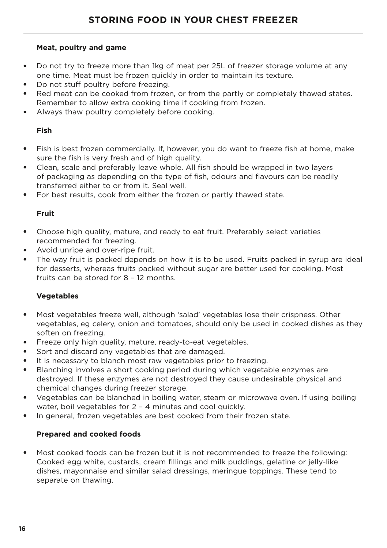### **Meat, poultry and game**

- Do not try to freeze more than 1kg of meat per 25L of freezer storage volume at any one time. Meat must be frozen quickly in order to maintain its texture.
- Do not stuff poultry before freezing.
- Red meat can be cooked from frozen, or from the partly or completely thawed states. Remember to allow extra cooking time if cooking from frozen.
- Always thaw poultry completely before cooking.

### **Fish**

- Fish is best frozen commercially. If, however, you do want to freeze fish at home, make sure the fish is very fresh and of high quality.
- Clean, scale and preferably leave whole. All fish should be wrapped in two layers of packaging as depending on the type of fish, odours and flavours can be readily transferred either to or from it. Seal well.
- For best results, cook from either the frozen or partly thawed state.

### **Fruit**

- Choose high quality, mature, and ready to eat fruit. Preferably select varieties recommended for freezing.
- Avoid unripe and over-ripe fruit.
- The way fruit is packed depends on how it is to be used. Fruits packed in syrup are ideal for desserts, whereas fruits packed without sugar are better used for cooking. Most fruits can be stored for 8 – 12 months.

### **Vegetables**

- Most vegetables freeze well, although 'salad' vegetables lose their crispness. Other vegetables, eg celery, onion and tomatoes, should only be used in cooked dishes as they soften on freezing.
- Freeze only high quality, mature, ready-to-eat vegetables.
- Sort and discard any vegetables that are damaged.
- It is necessary to blanch most raw vegetables prior to freezing.
- Blanching involves a short cooking period during which vegetable enzymes are destroyed. If these enzymes are not destroyed they cause undesirable physical and chemical changes during freezer storage.
- Vegetables can be blanched in boiling water, steam or microwave oven. If using boiling water, boil vegetables for 2 – 4 minutes and cool quickly.
- In general, frozen vegetables are best cooked from their frozen state.

### **Prepared and cooked foods**

Most cooked foods can be frozen but it is not recommended to freeze the following: Cooked egg white, custards, cream fillings and milk puddings, gelatine or jelly-like dishes, mayonnaise and similar salad dressings, meringue toppings. These tend to separate on thawing.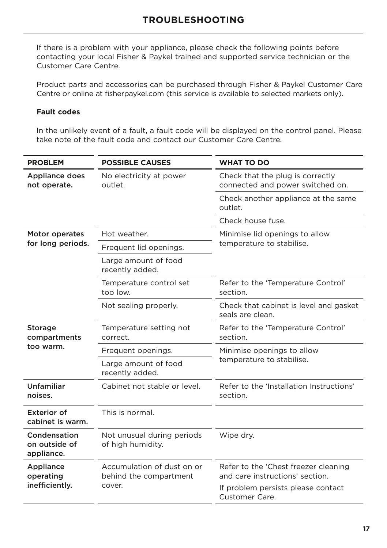If there is a problem with your appliance, please check the following points before contacting your local Fisher & Paykel trained and supported service technician or the Customer Care Centre.

Product parts and accessories can be purchased through Fisher & Paykel Customer Care Centre or online at fisherpaykel.com (this service is available to selected markets only).

### **Fault codes**

In the unlikely event of a fault, a fault code will be displayed on the control panel. Please take note of the fault code and contact our Customer Care Centre.

| <b>PROBLEM</b>                              | <b>POSSIBLE CAUSES</b>                                         | <b>WHAT TO DO</b>                                                                                                               |  |  |
|---------------------------------------------|----------------------------------------------------------------|---------------------------------------------------------------------------------------------------------------------------------|--|--|
| <b>Appliance does</b><br>not operate.       | No electricity at power<br>outlet.                             | Check that the plug is correctly<br>connected and power switched on.                                                            |  |  |
|                                             |                                                                | Check another appliance at the same<br>outlet.                                                                                  |  |  |
|                                             |                                                                | Check house fuse.                                                                                                               |  |  |
| Motor operates                              | Hot weather.                                                   | Minimise lid openings to allow<br>temperature to stabilise.                                                                     |  |  |
| for long periods.                           | Frequent lid openings.                                         |                                                                                                                                 |  |  |
|                                             | Large amount of food<br>recently added.                        |                                                                                                                                 |  |  |
|                                             | Temperature control set<br>too low.                            | Refer to the 'Temperature Control'<br>section.                                                                                  |  |  |
|                                             | Not sealing properly.                                          | Check that cabinet is level and gasket<br>seals are clean.                                                                      |  |  |
| <b>Storage</b><br>compartments              | Temperature setting not<br>correct.                            | Refer to the 'Temperature Control'<br>section.                                                                                  |  |  |
| too warm.                                   | Frequent openings.                                             | Minimise openings to allow                                                                                                      |  |  |
|                                             | Large amount of food<br>recently added.                        | temperature to stabilise.                                                                                                       |  |  |
| Unfamiliar<br>noises.                       | Cabinet not stable or level.                                   | Refer to the 'Installation Instructions'<br>section.                                                                            |  |  |
| <b>Exterior of</b><br>cabinet is warm.      | This is normal.                                                |                                                                                                                                 |  |  |
| Condensation<br>on outside of<br>appliance. | Not unusual during periods<br>of high humidity.                | Wipe dry.                                                                                                                       |  |  |
| Appliance<br>operating<br>inefficiently.    | Accumulation of dust on or<br>behind the compartment<br>cover. | Refer to the 'Chest freezer cleaning<br>and care instructions' section.<br>If problem persists please contact<br>Customer Care. |  |  |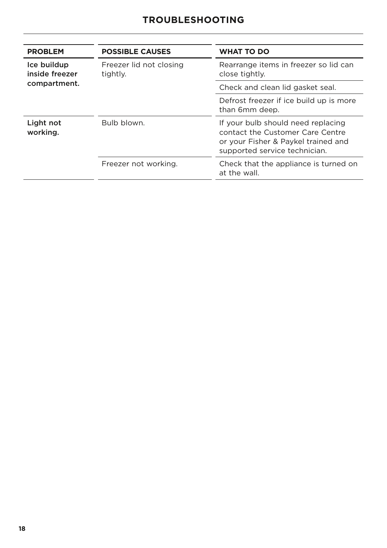| <b>PROBLEM</b>                | <b>POSSIBLE CAUSES</b>              | <b>WHAT TO DO</b>                                                                                                                              |
|-------------------------------|-------------------------------------|------------------------------------------------------------------------------------------------------------------------------------------------|
| Ice buildup<br>inside freezer | Freezer lid not closing<br>tightly. | Rearrange items in freezer so lid can<br>close tightly.                                                                                        |
| compartment.                  |                                     | Check and clean lid gasket seal.                                                                                                               |
|                               |                                     | Defrost freezer if ice build up is more<br>than 6mm deep.                                                                                      |
| Light not<br>working.         | Bulb blown.                         | If your bulb should need replacing<br>contact the Customer Care Centre<br>or your Fisher & Paykel trained and<br>supported service technician. |
|                               | Freezer not working.                | Check that the appliance is turned on<br>at the wall.                                                                                          |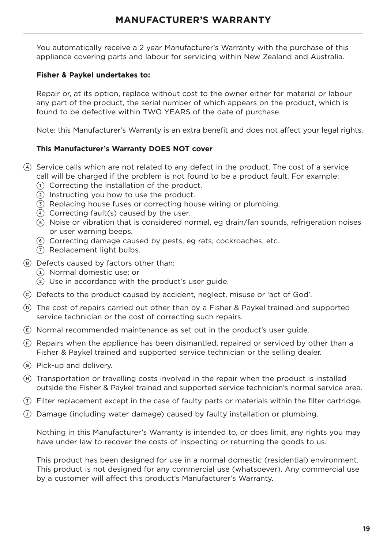You automatically receive a 2 year Manufacturer's Warranty with the purchase of this appliance covering parts and labour for servicing within New Zealand and Australia.

### **Fisher & Paykel undertakes to:**

Repair or, at its option, replace without cost to the owner either for material or labour any part of the product, the serial number of which appears on the product, which is found to be defective within TWO YEARS of the date of purchase.

Note: this Manufacturer's Warranty is an extra benefit and does not affect your legal rights.

### **This Manufacturer's Warranty DOES NOT cover**

- A Service calls which are not related to any defect in the product. The cost of a service call will be charged if the problem is not found to be a product fault. For example:
	- 1 Correcting the installation of the product.
	- 2 Instructing you how to use the product.
	- 3 Replacing house fuses or correcting house wiring or plumbing.
	- 4 Correcting fault(s) caused by the user.
	- 5 Noise or vibration that is considered normal, eg drain/fan sounds, refrigeration noises or user warning beeps.
	- 6 Correcting damage caused by pests, eg rats, cockroaches, etc.
	- 7 Replacement light bulbs.
- B Defects caused by factors other than:
	- 1 Normal domestic use; or
	- $(2)$  Use in accordance with the product's user quide.
- C Defects to the product caused by accident, neglect, misuse or 'act of God'.
- D The cost of repairs carried out other than by a Fisher & Paykel trained and supported service technician or the cost of correcting such repairs.
- $E$  Normal recommended maintenance as set out in the product's user guide.
- $(F)$  Repairs when the appliance has been dismantled, repaired or serviced by other than a Fisher & Paykel trained and supported service technician or the selling dealer.
- G Pick-up and delivery.
- $H$  Transportation or travelling costs involved in the repair when the product is installed outside the Fisher & Paykel trained and supported service technician's normal service area.
- $(I)$  Filter replacement except in the case of faulty parts or materials within the filter cartridge.
- $\overline{O}$  Damage (including water damage) caused by faulty installation or plumbing.

Nothing in this Manufacturer's Warranty is intended to, or does limit, any rights you may have under law to recover the costs of inspecting or returning the goods to us.

This product has been designed for use in a normal domestic (residential) environment. This product is not designed for any commercial use (whatsoever). Any commercial use by a customer will affect this product's Manufacturer's Warranty.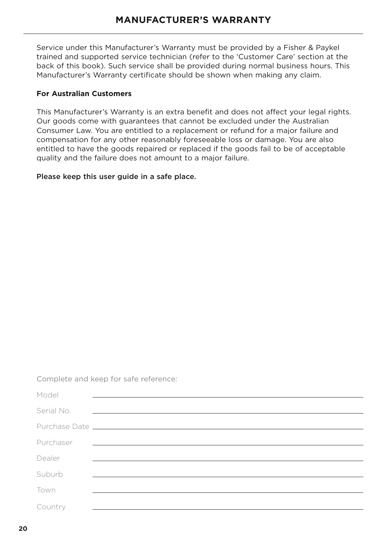Service under this Manufacturer's Warranty must be provided by a Fisher & Paykel trained and supported service technician (refer to the 'Customer Care' section at the back of this book). Such service shall be provided during normal business hours. This Manufacturer's Warranty certificate should be shown when making any claim.

### **For Australian Customers**

This Manufacturer's Warranty is an extra benefit and does not affect your legal rights. Our goods come with guarantees that cannot be excluded under the Australian Consumer Law. You are entitled to a replacement or refund for a major failure and compensation for any other reasonably foreseeable loss or damage. You are also entitled to have the goods repaired or replaced if the goods fail to be of acceptable quality and the failure does not amount to a major failure.

Please keep this user guide in a safe place.

Complete and keep for safe reference:

| Model      |                                                                                                     |
|------------|-----------------------------------------------------------------------------------------------------|
| Serial No. | and the contract of the contract of the contract of the contract of the contract of the contract of |
|            |                                                                                                     |
| Purchaser  | <u> 1980 - Johann Stoff, amerikansk politiker (d. 1980)</u>                                         |
| Dealer     |                                                                                                     |
| Suburb     |                                                                                                     |
| Town       |                                                                                                     |
| Country    |                                                                                                     |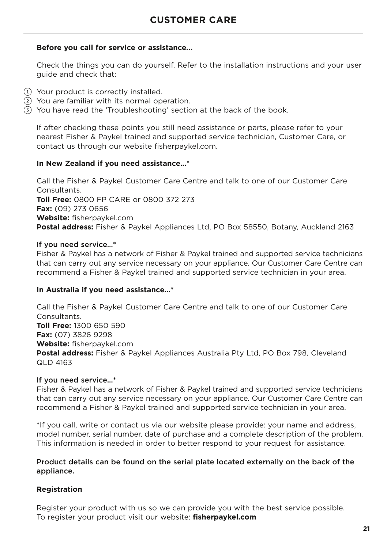#### **Before you call for service or assistance...**

Check the things you can do yourself. Refer to the installation instructions and your user guide and check that:

- 1 Your product is correctly installed.
- 2 You are familiar with its normal operation.
- 3 You have read the 'Troubleshooting' section at the back of the book.

If after checking these points you still need assistance or parts, please refer to your nearest Fisher & Paykel trained and supported service technician, Customer Care, or contact us through our website fisherpaykel.com.

#### **In New Zealand if you need assistance…\***

Call the Fisher & Paykel Customer Care Centre and talk to one of our Customer Care Consultants. **Toll Free:** 0800 FP CARE or 0800 372 273 **Fax:** (09) 273 0656 **Website:** fisherpaykel.com **Postal address:** Fisher & Paykel Appliances Ltd, PO Box 58550, Botany, Auckland 2163

#### If you need service…\*

Fisher & Paykel has a network of Fisher & Paykel trained and supported service technicians that can carry out any service necessary on your appliance. Our Customer Care Centre can recommend a Fisher & Paykel trained and supported service technician in your area.

### **In Australia if you need assistance…\***

Call the Fisher & Paykel Customer Care Centre and talk to one of our Customer Care **Consultants Toll Free:** 1300 650 590 **Fax:** (07) 3826 9298 **Website:** fisherpaykel.com **Postal address:** Fisher & Paykel Appliances Australia Pty Ltd, PO Box 798, Cleveland QLD 4163

#### If you need service…\*

Fisher & Paykel has a network of Fisher & Paykel trained and supported service technicians that can carry out any service necessary on your appliance. Our Customer Care Centre can recommend a Fisher & Paykel trained and supported service technician in your area.

\*If you call, write or contact us via our website please provide: your name and address, model number, serial number, date of purchase and a complete description of the problem. This information is needed in order to better respond to your request for assistance.

#### Product details can be found on the serial plate located externally on the back of the appliance.

### **Registration**

Register your product with us so we can provide you with the best service possible. To register your product visit our website: **fisherpaykel.com**